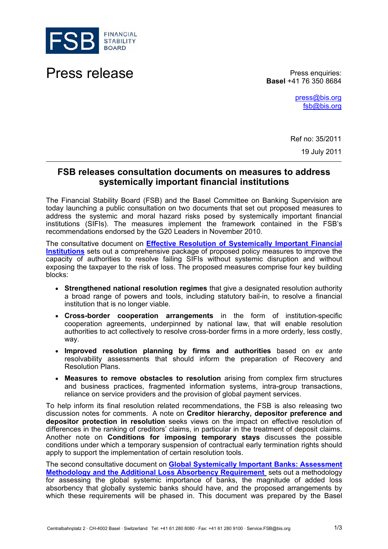

Press release **Press enquiries:** 

**Basel** +41 76 350 8684

[press@bis.org](mailto:press@bis.org) [fsb@bis.org](mailto:fsb@bis.org)

Ref no: 35/2011 19 July 2011

## **FSB releases consultation documents on measures to address systemically important financial institutions**

The Financial Stability Board (FSB) and the Basel Committee on Banking Supervision are today launching a public consultation on two documents that set out proposed measures to address the systemic and moral hazard risks posed by systemically important financial institutions (SIFIs). The measures implement the framework contained in the FSB's recommendations endorsed by the G20 Leaders in November 2010.

The consultative document on **[Effective Resolution of Systemically Important Financial](http://www.financialstabilityboard.org/publications/r_110719.pdf)  [Institutions](http://www.financialstabilityboard.org/publications/r_110719.pdf)** sets out a comprehensive package of proposed policy measures to improve the capacity of authorities to resolve failing SIFIs without systemic disruption and without exposing the taxpayer to the risk of loss. The proposed measures comprise four key building blocks:

- **Strengthened national resolution regimes** that give a designated resolution authority a broad range of powers and tools, including statutory bail-in, to resolve a financial institution that is no longer viable.
- **Cross-border cooperation arrangements** in the form of institution-specific cooperation agreements, underpinned by national law, that will enable resolution authorities to act collectively to resolve cross-border firms in a more orderly, less costly, way.
- **Improved resolution planning by firms and authorities** based on *ex ante* resolvability assessments that should inform the preparation of Recovery and Resolution Plans.
- **Measures to remove obstacles to resolution** arising from complex firm structures and business practices, fragmented information systems, intra-group transactions, reliance on service providers and the provision of global payment services.

To help inform its final resolution related recommendations, the FSB is also releasing two discussion notes for comments. A note on **Creditor hierarchy, depositor preference and depositor protection in resolution** seeks views on the impact on effective resolution of differences in the ranking of creditors' claims, in particular in the treatment of deposit claims. Another note on **Conditions for imposing temporary stays** discusses the possible conditions under which a temporary suspension of contractual early termination rights should apply to support the implementation of certain resolution tools.

The second consultative document on **[Global Systemically Important Banks: Assessment](http://www.bis.org/publ/bcbs201.htm)  [Methodology and the Additional Loss Absorbency Requirement](http://www.bis.org/publ/bcbs201.htm)** sets out a methodology for assessing the global systemic importance of banks, the magnitude of added loss absorbency that globally systemic banks should have, and the proposed arrangements by which these requirements will be phased in. This document was prepared by the Basel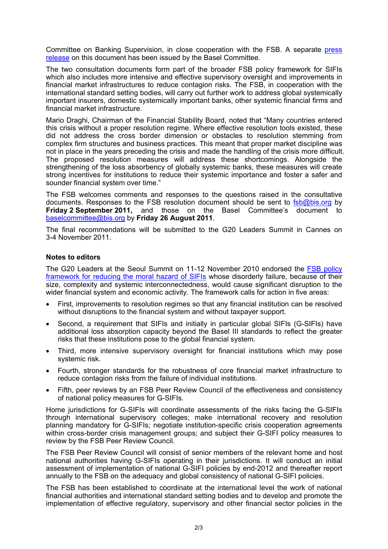Committee on Banking Supervision, in close cooperation with the FSB. A separate [press](http://www.bis.org/press/p110719.htm)  [release](http://www.bis.org/press/p110719.htm) on this document has been issued by the Basel Committee.

The two consultation documents form part of the broader FSB policy framework for SIFIs which also includes more intensive and effective supervisory oversight and improvements in financial market infrastructures to reduce contagion risks. The FSB, in cooperation with the international standard setting bodies, will carry out further work to address global systemically important insurers, domestic systemically important banks, other systemic financial firms and financial market infrastructure.

Mario Draghi, Chairman of the Financial Stability Board, noted that "Many countries entered this crisis without a proper resolution regime. Where effective resolution tools existed, these did not address the cross border dimension or obstacles to resolution stemming from complex firm structures and business practices. This meant that proper market discipline was not in place in the years preceding the crisis and made the handling of the crisis more difficult. The proposed resolution measures will address these shortcomings. Alongside the strengthening of the loss absorbency of globally systemic banks, these measures will create strong incentives for institutions to reduce their systemic importance and foster a safer and sounder financial system over time."

The FSB welcomes comments and responses to the questions raised in the consultative documents. Responses to the FSB resolution document should be sent to [fsb@bis.org](mailto:fsb@bis.org) by **Friday 2 September 2011,** and those on the Basel Committee's document to [baselcommittee@bis.org](mailto:baselcommittee@bis.org) by **Friday 26 August 2011**.

The final recommendations will be submitted to the G20 Leaders Summit in Cannes on 3-4 November 2011.

## **Notes to editors**

The G20 Leaders at the Seoul Summit on 11-12 November 2010 endorsed the [FSB policy](http://www.financialstabilityboard.org/publications/r_101111a.pdf)  [framework for reducing the moral hazard of SIFIs](http://www.financialstabilityboard.org/publications/r_101111a.pdf) whose disorderly failure, because of their size, complexity and systemic interconnectedness, would cause significant disruption to the wider financial system and economic activity. The framework calls for action in five areas:

- First, improvements to resolution regimes so that any financial institution can be resolved without disruptions to the financial system and without taxpayer support.
- Second, a requirement that SIFIs and initially in particular global SIFIs (G-SIFIs) have additional loss absorption capacity beyond the Basel III standards to reflect the greater risks that these institutions pose to the global financial system.
- Third, more intensive supervisory oversight for financial institutions which may pose systemic risk.
- Fourth, stronger standards for the robustness of core financial market infrastructure to reduce contagion risks from the failure of individual institutions.
- Fifth, peer reviews by an FSB Peer Review Council of the effectiveness and consistency of national policy measures for G-SIFIs.

Home jurisdictions for G-SIFIs will coordinate assessments of the risks facing the G-SIFIs through international supervisory colleges; make international recovery and resolution planning mandatory for G-SIFIs; negotiate institution-specific crisis cooperation agreements within cross-border crisis management groups; and subject their G-SIFI policy measures to review by the FSB Peer Review Council.

The FSB Peer Review Council will consist of senior members of the relevant home and host national authorities having G-SIFIs operating in their jurisdictions. It will conduct an initial assessment of implementation of national G-SIFI policies by end-2012 and thereafter report annually to the FSB on the adequacy and global consistency of national G-SIFI policies.

The FSB has been established to coordinate at the international level the work of national financial authorities and international standard setting bodies and to develop and promote the implementation of effective regulatory, supervisory and other financial sector policies in the